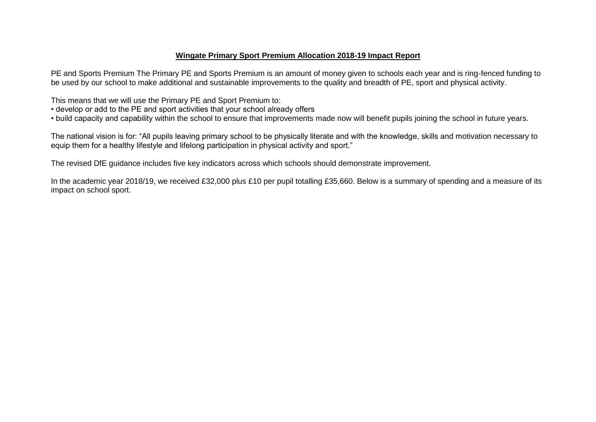#### **Wingate Primary Sport Premium Allocation 2018-19 Impact Report**

PE and Sports Premium The Primary PE and Sports Premium is an amount of money given to schools each year and is ring-fenced funding to be used by our school to make additional and sustainable improvements to the quality and breadth of PE, sport and physical activity.

This means that we will use the Primary PE and Sport Premium to:

- develop or add to the PE and sport activities that your school already offers
- build capacity and capability within the school to ensure that improvements made now will benefit pupils joining the school in future years.

The national vision is for: "All pupils leaving primary school to be physically literate and with the knowledge, skills and motivation necessary to equip them for a healthy lifestyle and lifelong participation in physical activity and sport."

The revised DfE guidance includes five key indicators across which schools should demonstrate improvement.

In the academic year 2018/19, we received £32,000 plus £10 per pupil totalling £35,660. Below is a summary of spending and a measure of its impact on school sport.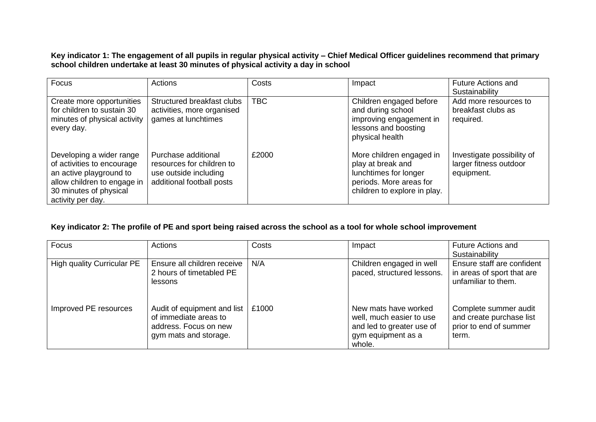**Key indicator 1: The engagement of all pupils in regular physical activity – Chief Medical Officer guidelines recommend that primary school children undertake at least 30 minutes of physical activity a day in school**

| Focus                                                                                                                                                           | Actions                                                                                                | Costs      | Impact                                                                                                                            | <b>Future Actions and</b><br>Sustainability                        |
|-----------------------------------------------------------------------------------------------------------------------------------------------------------------|--------------------------------------------------------------------------------------------------------|------------|-----------------------------------------------------------------------------------------------------------------------------------|--------------------------------------------------------------------|
| Create more opportunities<br>for children to sustain 30<br>minutes of physical activity<br>every day.                                                           | Structured breakfast clubs<br>activities, more organised<br>games at lunchtimes                        | <b>TBC</b> | Children engaged before<br>and during school<br>improving engagement in<br>lessons and boosting<br>physical health                | Add more resources to<br>breakfast clubs as<br>required.           |
| Developing a wider range<br>of activities to encourage<br>an active playground to<br>allow children to engage in<br>30 minutes of physical<br>activity per day. | Purchase additional<br>resources for children to<br>use outside including<br>additional football posts | £2000      | More children engaged in<br>play at break and<br>lunchtimes for longer<br>periods. More areas for<br>children to explore in play. | Investigate possibility of<br>larger fitness outdoor<br>equipment. |

## **Key indicator 2: The profile of PE and sport being raised across the school as a tool for whole school improvement**

| Focus                             | Actions                                                                                                | Costs | Impact                                                                                                        | <b>Future Actions and</b><br>Sustainability                                          |
|-----------------------------------|--------------------------------------------------------------------------------------------------------|-------|---------------------------------------------------------------------------------------------------------------|--------------------------------------------------------------------------------------|
| <b>High quality Curricular PE</b> | Ensure all children receive<br>2 hours of timetabled PE<br>lessons                                     | N/A   | Children engaged in well<br>paced, structured lessons.                                                        | Ensure staff are confident<br>in areas of sport that are<br>unfamiliar to them.      |
| Improved PE resources             | Audit of equipment and list<br>of immediate areas to<br>address. Focus on new<br>gym mats and storage. | £1000 | New mats have worked<br>well, much easier to use<br>and led to greater use of<br>gym equipment as a<br>whole. | Complete summer audit<br>and create purchase list<br>prior to end of summer<br>term. |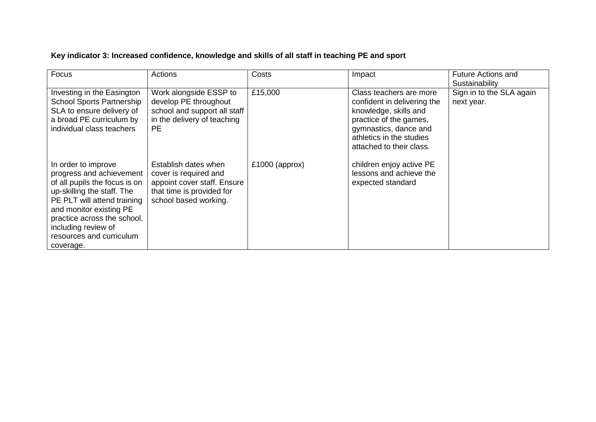# **Key indicator 3: Increased confidence, knowledge and skills of all staff in teaching PE and sport**

| Focus                                                                                                                                                                                                                                                                   | Actions                                                                                                                            | Costs            | Impact                                                                                                                                                                                     | <b>Future Actions and</b><br>Sustainability |
|-------------------------------------------------------------------------------------------------------------------------------------------------------------------------------------------------------------------------------------------------------------------------|------------------------------------------------------------------------------------------------------------------------------------|------------------|--------------------------------------------------------------------------------------------------------------------------------------------------------------------------------------------|---------------------------------------------|
| Investing in the Easington<br><b>School Sports Partnership</b><br>SLA to ensure delivery of<br>a broad PE curriculum by<br>individual class teachers                                                                                                                    | Work alongside ESSP to<br>develop PE throughout<br>school and support all staff<br>in the delivery of teaching<br>PE.              | £15,000          | Class teachers are more<br>confident in delivering the<br>knowledge, skills and<br>practice of the games,<br>gymnastics, dance and<br>athletics in the studies<br>attached to their class. | Sign in to the SLA again<br>next year.      |
| In order to improve<br>progress and achievement<br>of all pupils the focus is on<br>up-skilling the staff. The<br>PE PLT will attend training<br>and monitor existing PE<br>practice across the school,<br>including review of<br>resources and curriculum<br>coverage. | Establish dates when<br>cover is required and<br>appoint cover staff. Ensure<br>that time is provided for<br>school based working. | $£1000$ (approx) | children enjoy active PE<br>lessons and achieve the<br>expected standard                                                                                                                   |                                             |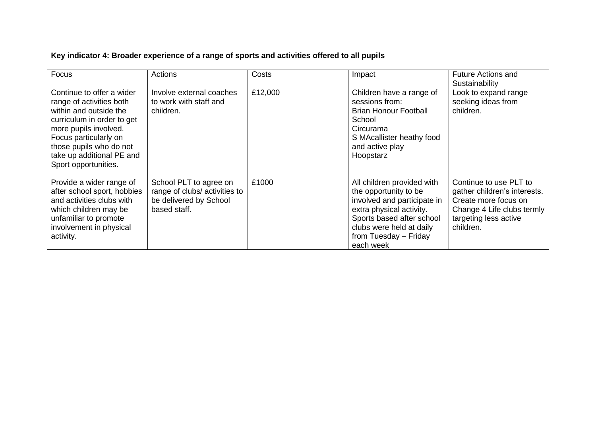# **Key indicator 4: Broader experience of a range of sports and activities offered to all pupils**

| Focus                                                                                                                                                                                                                                           | Actions                                                                                          | Costs   | Impact                                                                                                                                                                                                        | <b>Future Actions and</b><br>Sustainability                                                                                                        |
|-------------------------------------------------------------------------------------------------------------------------------------------------------------------------------------------------------------------------------------------------|--------------------------------------------------------------------------------------------------|---------|---------------------------------------------------------------------------------------------------------------------------------------------------------------------------------------------------------------|----------------------------------------------------------------------------------------------------------------------------------------------------|
| Continue to offer a wider<br>range of activities both<br>within and outside the<br>curriculum in order to get<br>more pupils involved.<br>Focus particularly on<br>those pupils who do not<br>take up additional PE and<br>Sport opportunities. | Involve external coaches<br>to work with staff and<br>children.                                  | £12,000 | Children have a range of<br>sessions from:<br><b>Brian Honour Football</b><br>School<br>Circurama<br>S MAcallister heathy food<br>and active play<br>Hoopstarz                                                | Look to expand range<br>seeking ideas from<br>children.                                                                                            |
| Provide a wider range of<br>after school sport, hobbies<br>and activities clubs with<br>which children may be<br>unfamiliar to promote<br>involvement in physical<br>activity.                                                                  | School PLT to agree on<br>range of clubs/activities to<br>be delivered by School<br>based staff. | £1000   | All children provided with<br>the opportunity to be<br>involved and participate in<br>extra physical activity.<br>Sports based after school<br>clubs were held at daily<br>from Tuesday - Friday<br>each week | Continue to use PLT to<br>gather children's interests.<br>Create more focus on<br>Change 4 Life clubs termly<br>targeting less active<br>children. |